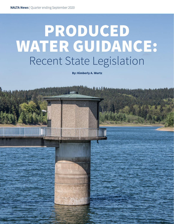# PRODUCED WATER GUIDANCE: Recent State Legislation

By: Kimberly A. Wurtz

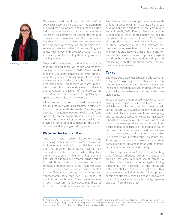

*Kimberly A. Wurtz*

Management and use of the produced water<sup>1</sup> resource has become an increasingly important part of oil and gas development and operations. As the industry has evolved and production rates have increased, the correlated increase for the amount of water that is associated with that production has shifted how the industry uses and manages the produced water resource. An emerging consensus appears to be that utilizing recycling and re-use technology with produced water may be the best option for handling these large volumes moving forward.

Texas and New Mexico passed legislation in 2019 that provided guidance for the use and management of produced water. In 2020, Oklahoma did the same. Operators in these states rely on groundwater for hydraulic fracturing but must also handle the water that is produced as a byproduct of the production zone. This reliance on water, in conjunction with the corresponding need for efficient and beneficial management of the resource, has opened the door for these states to legislatively respond to the rapidly adapting industry.

All three states have taken steps to distinguish and classify produced water as a separate, distinct entity from the groundwater estate. The new laws enacted in Texas, New Mexico and Oklahoma focus specifically on the produced water resource and are targeted at managing the resource while also providing incentives and guidance for the beneficial re-use and recycling of industry water.

#### **Water in the Permian Basin**

Texas and New Mexico, like other energy producing states, view the water resource as an integral commodity for both the landowner and the operator. Both states have a high demand for water resources while they face diminishing supplies. The union of high demand and lack of supply have become driving forces for additional water management options. Drought and drainage are the main concerns for the Permian and Delaware basins. Located in the Chihuahuan desert, this area receives approximately less than ten (10) inches of precipitation each year. Thus, water sources in both states are highly valued, regardless of the elements and minerals contained within.

The Permian Basin encompasses a large swath of land in West Texas. In this area, oil and gas development is embedded in the community and culture. By 2023, Permian Basin production is expected to reach approximately 5.4 million barrels of oil per day. In June of 2019, Texas alone produced approximately 94 million barrels of crude. Accordingly, one can estimate the produced water associated with that production will reach approximately 5 times that amount. For an area that is in need of water, yet also plagued by drought conditions, understanding and transacting with the produced water resource may provide some relief.

#### **Texas**

The Texas Legislature has labeled produced water as "waste," recognizing a clear distinction between the groundwater estate and produced water. In doing so, the legislation focused on produced water as an oil field waste issue and not as a water ownership issue.

Texas addressed the produced water resource by passing Texas House Bill 3246 ("HB 3246"). HB 3246, which became effective September 1, 2019, provided the industry with guidance regarding produced water, and placed a special emphasis on recycling and reusing produced water. HB 3246 further established that when a person takes possession of fluid oil and gas waste (produced water) to treat it for a subsequent beneficial use, the produced water becomes that person's property and can be transferred and conveyed to third parties for disposal or use in treated or untreated form. In essence, the Texas Legislature created a possession-based standard, allowing the possessor of the water to transact with more confidence and security.

HB 3246 begins with an "unless clause," stating that "[u]nless otherwise expressly provided by an oil or gas lease, a surface use agreement, a contract, a bill of sale, or another legally binding document," the possessor of the produced water essentially becomes the legal owner. This language was included in the bill to protect existing contracts, recognizing that a landowner may still transact with the water supply, separate and apart from this new law.

<sup>1 &</sup>quot;Produced Water is the water naturally occurring in the targeted hydrocarbon formation that also flows to the surface through the wellbore during oil and gas exploration and production." Adam Friedman, Recycling Flowback and Produced Water: Can Texas Do More to Throw Away Less?, The State of Bar of Texas Oil, Gas and Energy Section (Fall 2016).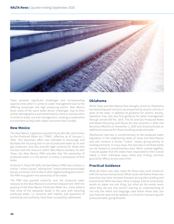

Texas presents significant challenges and corresponding opportunities when it comes to water management due to the differing landscape and high producing basins. New Mexico faces many of the same water driven challenges. Due to their similar demographics and shared basins, there is overlap when it comes to water use and management, creating a cooperative environment to help both states overcome their hurdles.

### **New Mexico**

The New Mexico Legislature passed House Bill 546, also known as the Produced Water Act ("PWA"), effective as of January 1, 2020. This bipartisan effort was intended to encourage and facilitate the recycling and re-use of produced water by oil and gas producers, and also provide legal certainty for those who transact with the resource within New Mexico borders. As with Texas, the New Mexico PWA provides that the ownership of produced water is in the person or entity in possession of that water.

As found in Texas HB 3246, the New Mexico PWA also contains a similar "unless clause," stating that "unless otherwise provided by law, a contract, bill of sale or other legally binding document," the PWA may govern the ownership of the water.

The PWA also granted authority over the produced water resource to the New Mexico Environment Department. With the passing of the New Mexico Produced Water Act, many believe that most of the obstacles faced in the past with recycling produced water, i.e. concerns with liability and questions of ownership and authority, have been successfully addressed.

# **Oklahoma**

While Texas and New Mexico face drought concerns, Oklahoma has faced disposal concerns accompanied by seismic activity in parts of the state. In addition to guidance for seismic activity, operators may now also find guidance for water management through Senate Bill No. 1875. The Oil and Gas Produced Water and Waste Recycling and Reuse Act was enacted in 2020 and becomes effective on November 1, 2020 and should provide an additional resource for those handling produced water.

Oklahoma's new law is complimentary to the produced water legislation in the neighboring states of Texas and New Mexico and also contains a similar "unless" clause, giving priority to existing contracts. In many ways, the new laws in all three states can be viewed as complimentary laws. When viewed together, it would appear that the states have responded to their overall needs in their individual ways, while also finding common ground for efforts across state lines.

## **Practical Guidance**

What do these new laws mean for those who work hands-on with the various transactions? What issues will follow these new laws that may have not been foreseen during their drafting and enactments? With new laws, there is always a bit of uncertainty: words on paper are one thing, but what do the words mean when they are put into action? Gaining an understanding of not only the intent and language used within these laws, but also how the laws will be applied, is critical for transacting with produced water going forward.